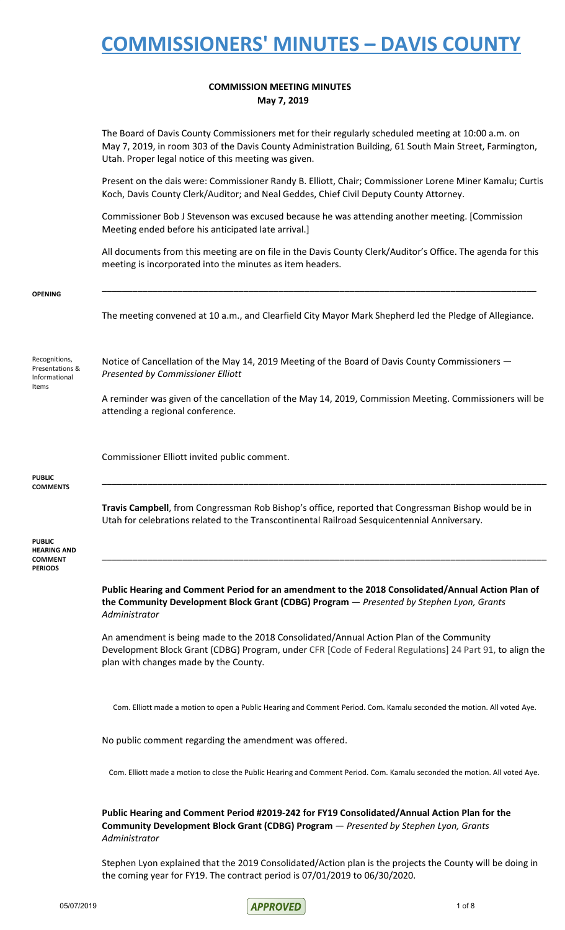#### **COMMISSION MEETING MINUTES May 7, 2019**

|                                                                         | The Board of Davis County Commissioners met for their regularly scheduled meeting at 10:00 a.m. on<br>May 7, 2019, in room 303 of the Davis County Administration Building, 61 South Main Street, Farmington,<br>Utah. Proper legal notice of this meeting was given. |
|-------------------------------------------------------------------------|-----------------------------------------------------------------------------------------------------------------------------------------------------------------------------------------------------------------------------------------------------------------------|
|                                                                         | Present on the dais were: Commissioner Randy B. Elliott, Chair; Commissioner Lorene Miner Kamalu; Curtis<br>Koch, Davis County Clerk/Auditor; and Neal Geddes, Chief Civil Deputy County Attorney.                                                                    |
|                                                                         | Commissioner Bob J Stevenson was excused because he was attending another meeting. [Commission<br>Meeting ended before his anticipated late arrival.]                                                                                                                 |
|                                                                         | All documents from this meeting are on file in the Davis County Clerk/Auditor's Office. The agenda for this<br>meeting is incorporated into the minutes as item headers.                                                                                              |
| <b>OPENING</b>                                                          |                                                                                                                                                                                                                                                                       |
|                                                                         | The meeting convened at 10 a.m., and Clearfield City Mayor Mark Shepherd led the Pledge of Allegiance.                                                                                                                                                                |
| Recognitions,<br>Presentations &<br>Informational                       | Notice of Cancellation of the May 14, 2019 Meeting of the Board of Davis County Commissioners -<br>Presented by Commissioner Elliott                                                                                                                                  |
| Items                                                                   | A reminder was given of the cancellation of the May 14, 2019, Commission Meeting. Commissioners will be<br>attending a regional conference.                                                                                                                           |
|                                                                         | Commissioner Elliott invited public comment.                                                                                                                                                                                                                          |
| <b>PUBLIC</b><br><b>COMMENTS</b>                                        |                                                                                                                                                                                                                                                                       |
|                                                                         | Travis Campbell, from Congressman Rob Bishop's office, reported that Congressman Bishop would be in<br>Utah for celebrations related to the Transcontinental Railroad Sesquicentennial Anniversary.                                                                   |
| <b>PUBLIC</b><br><b>HEARING AND</b><br><b>COMMENT</b><br><b>PERIODS</b> |                                                                                                                                                                                                                                                                       |
|                                                                         | Public Hearing and Comment Period for an amendment to the 2018 Consolidated/Annual Action Plan of<br>the Community Development Block Grant (CDBG) Program - Presented by Stephen Lyon, Grants<br>Administrator                                                        |
|                                                                         | An amendment is being made to the 2018 Consolidated/Annual Action Plan of the Community<br>Development Block Grant (CDBG) Program, under CFR [Code of Federal Regulations] 24 Part 91, to align the<br>plan with changes made by the County.                          |
|                                                                         | Com. Elliott made a motion to open a Public Hearing and Comment Period. Com. Kamalu seconded the motion. All voted Aye.                                                                                                                                               |
|                                                                         | No public comment regarding the amendment was offered.                                                                                                                                                                                                                |
|                                                                         | Com. Elliott made a motion to close the Public Hearing and Comment Period. Com. Kamalu seconded the motion. All voted Aye.                                                                                                                                            |
|                                                                         |                                                                                                                                                                                                                                                                       |

**Public Hearing and Comment Period #2019-242 for FY19 Consolidated/Annual Action Plan for the Community Development Block Grant (CDBG) Program** — *Presented by Stephen Lyon, Grants Administrator*

Stephen Lyon explained that the 2019 Consolidated/Action plan is the projects the County will be doing in the coming year for FY19. The contract period is 07/01/2019 to 06/30/2020.

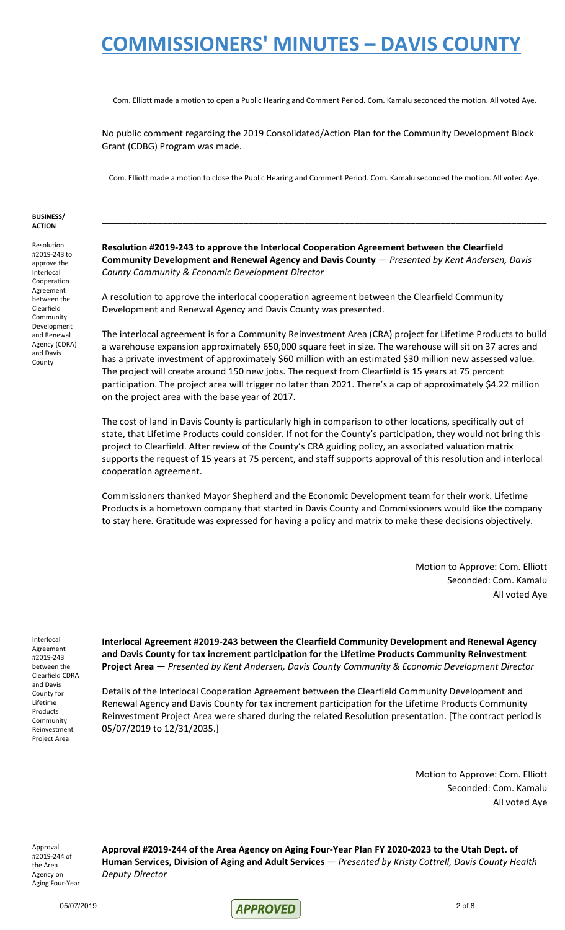Com. Elliott made a motion to open a Public Hearing and Comment Period. Com. Kamalu seconded the motion. All voted Aye.

No public comment regarding the 2019 Consolidated/Action Plan for the Community Development Block Grant (CDBG) Program was made.

Com. Elliott made a motion to close the Public Hearing and Comment Period. Com. Kamalu seconded the motion. All voted Aye.

**\_\_\_\_\_\_\_\_\_\_\_\_\_\_\_\_\_\_\_\_\_\_\_\_\_\_\_\_\_\_\_\_\_\_\_\_\_\_\_\_\_\_\_\_\_\_\_\_\_\_\_\_\_\_\_\_\_\_\_\_\_\_\_\_\_\_\_\_\_\_\_\_\_\_\_\_\_\_\_\_\_\_\_\_\_\_\_\_**

#### **BUSINESS/ ACTION**

Resolution #2019-243 to approve the Interlocal Cooperation Agreement between the Clearfield Community Development and Renewal Agency (CDRA) and Davis County

**Resolution #2019-243 to approve the Interlocal Cooperation Agreement between the Clearfield Community Development and Renewal Agency and Davis County** — *Presented by Kent Andersen, Davis County Community & Economic Development Director*

A resolution to approve the interlocal cooperation agreement between the Clearfield Community Development and Renewal Agency and Davis County was presented.

The interlocal agreement is for a Community Reinvestment Area (CRA) project for Lifetime Products to build a warehouse expansion approximately 650,000 square feet in size. The warehouse will sit on 37 acres and has a private investment of approximately \$60 million with an estimated \$30 million new assessed value. The project will create around 150 new jobs. The request from Clearfield is 15 years at 75 percent participation. The project area will trigger no later than 2021. There's a cap of approximately \$4.22 million on the project area with the base year of 2017.

The cost of land in Davis County is particularly high in comparison to other locations, specifically out of state, that Lifetime Products could consider. If not for the County's participation, they would not bring this project to Clearfield. After review of the County's CRA guiding policy, an associated valuation matrix supports the request of 15 years at 75 percent, and staff supports approval of this resolution and interlocal cooperation agreement.

Commissioners thanked Mayor Shepherd and the Economic Development team for their work. Lifetime Products is a hometown company that started in Davis County and Commissioners would like the company to stay here. Gratitude was expressed for having a policy and matrix to make these decisions objectively.

> Motion to Approve: Com. Elliott Seconded: Com. Kamalu All voted Aye

Interlocal Agreement #2019-243 between the Clearfield CDRA and Davis County for Lifetime Products **Community** Reinvestment Project Area

**Interlocal Agreement #2019-243 between the Clearfield Community Development and Renewal Agency and Davis County for tax increment participation for the Lifetime Products Community Reinvestment Project Area** — *Presented by Kent Andersen, Davis County Community & Economic Development Director*

Details of the Interlocal Cooperation Agreement between the Clearfield Community Development and Renewal Agency and Davis County for tax increment participation for the Lifetime Products Community Reinvestment Project Area were shared during the related Resolution presentation. [The contract period is 05/07/2019 to 12/31/2035.]

> Motion to Approve: Com. Elliott Seconded: Com. Kamalu All voted Aye

Approval #2019-244 of the Area Agency on Aging Four-Year **Approval #2019-244 of the Area Agency on Aging Four-Year Plan FY 2020-2023 to the Utah Dept. of Human Services, Division of Aging and Adult Services** — *Presented by Kristy Cottrell, Davis County Health Deputy Director*

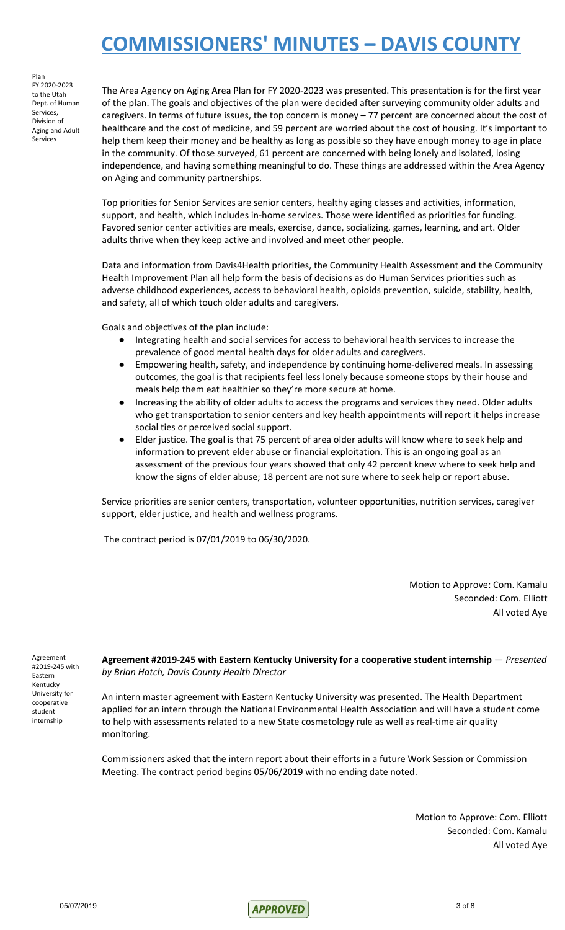Plan FY 2020-2023 to the Utah Dept. of Human Services, Division of Aging and Adult Services

The Area Agency on Aging Area Plan for FY 2020-2023 was presented. This presentation is for the first year of the plan. The goals and objectives of the plan were decided after surveying community older adults and caregivers. In terms of future issues, the top concern is money – 77 percent are concerned about the cost of healthcare and the cost of medicine, and 59 percent are worried about the cost of housing. It's important to help them keep their money and be healthy as long as possible so they have enough money to age in place in the community. Of those surveyed, 61 percent are concerned with being lonely and isolated, losing independence, and having something meaningful to do. These things are addressed within the Area Agency on Aging and community partnerships.

Top priorities for Senior Services are senior centers, healthy aging classes and activities, information, support, and health, which includes in-home services. Those were identified as priorities for funding. Favored senior center activities are meals, exercise, dance, socializing, games, learning, and art. Older adults thrive when they keep active and involved and meet other people.

Data and information from Davis4Health priorities, the Community Health Assessment and the Community Health Improvement Plan all help form the basis of decisions as do Human Services priorities such as adverse childhood experiences, access to behavioral health, opioids prevention, suicide, stability, health, and safety, all of which touch older adults and caregivers.

Goals and objectives of the plan include:

- Integrating health and social services for access to behavioral health services to increase the prevalence of good mental health days for older adults and caregivers.
- Empowering health, safety, and independence by continuing home-delivered meals. In assessing outcomes, the goal is that recipients feel less lonely because someone stops by their house and meals help them eat healthier so they're more secure at home.
- Increasing the ability of older adults to access the programs and services they need. Older adults who get transportation to senior centers and key health appointments will report it helps increase social ties or perceived social support.
- Elder justice. The goal is that 75 percent of area older adults will know where to seek help and information to prevent elder abuse or financial exploitation. This is an ongoing goal as an assessment of the previous four years showed that only 42 percent knew where to seek help and know the signs of elder abuse; 18 percent are not sure where to seek help or report abuse.

Service priorities are senior centers, transportation, volunteer opportunities, nutrition services, caregiver support, elder justice, and health and wellness programs.

The contract period is 07/01/2019 to 06/30/2020.

Motion to Approve: Com. Kamalu Seconded: Com. Elliott All voted Aye

Agreement #2019-245 with Eastern Kentucky University for cooperative student internship

**Agreement #2019-245 with Eastern Kentucky University for a cooperative student internship** — *Presented by Brian Hatch, Davis County Health Director*

An intern master agreement with Eastern Kentucky University was presented. The Health Department applied for an intern through the National Environmental Health Association and will have a student come to help with assessments related to a new State cosmetology rule as well as real-time air quality monitoring.

Commissioners asked that the intern report about their efforts in a future Work Session or Commission Meeting. The contract period begins 05/06/2019 with no ending date noted.

> Motion to Approve: Com. Elliott Seconded: Com. Kamalu All voted Aye

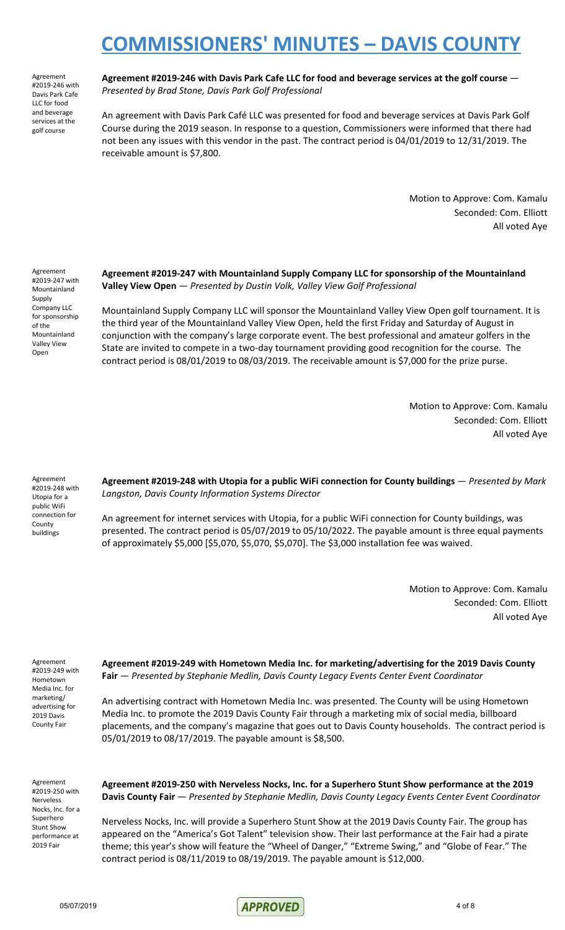Agreement #2019-246 with Davis Park Cafe LLC for food and beverage services at the golf course

**Agreement #2019-246 with Davis Park Cafe LLC for food and beverage services at the golf course** — *Presented by Brad Stone, Davis Park Golf Professional*

An agreement with Davis Park Café LLC was presented for food and beverage services at Davis Park Golf Course during the 2019 season. In response to a question, Commissioners were informed that there had not been any issues with this vendor in the past. The contract period is 04/01/2019 to 12/31/2019. The receivable amount is \$7,800.

> Motion to Approve: Com. Kamalu Seconded: Com. Elliott All voted Aye

Agreement #2019-247 with Mountainland Supply Company LLC for sponsorship of the Mountainland Valley View Open

**Agreement #2019-247 with Mountainland Supply Company LLC for sponsorship of the Mountainland Valley View Open** — *Presented by Dustin Volk, Valley View Golf Professional*

Mountainland Supply Company LLC will sponsor the Mountainland Valley View Open golf tournament. It is the third year of the Mountainland Valley View Open, held the first Friday and Saturday of August in conjunction with the company's large corporate event. The best professional and amateur golfers in the State are invited to compete in a two-day tournament providing good recognition for the course. The contract period is 08/01/2019 to 08/03/2019. The receivable amount is \$7,000 for the prize purse.

> Motion to Approve: Com. Kamalu Seconded: Com. Elliott All voted Aye

Agreement #2019-248 with Utopia for a public WiFi connection for County buildings

**Agreement #2019-248 with Utopia for a public WiFi connection for County buildings** — *Presented by Mark Langston, Davis County Information Systems Director*

An agreement for internet services with Utopia, for a public WiFi connection for County buildings, was presented. The contract period is 05/07/2019 to 05/10/2022. The payable amount is three equal payments of approximately \$5,000 [\$5,070, \$5,070, \$5,070]. The \$3,000 installation fee was waived.

> Motion to Approve: Com. Kamalu Seconded: Com. Elliott All voted Aye

Agreement #2019-249 with Hometown Media Inc. for marketing/ advertising for 2019 Davis County Fair

**Agreement #2019-249 with Hometown Media Inc. for marketing/advertising for the 2019 Davis County Fair** — *Presented by Stephanie Medlin, Davis County Legacy Events Center Event Coordinator*

An advertising contract with Hometown Media Inc. was presented. The County will be using Hometown Media Inc. to promote the 2019 Davis County Fair through a marketing mix of social media, billboard placements, and the company's magazine that goes out to Davis County households. The contract period is 05/01/2019 to 08/17/2019. The payable amount is \$8,500.

Agreement #2019-250 with Nerveless Nocks, Inc. for a Superhero Stunt Show performance at 2019 Fair

**Agreement #2019-250 with Nerveless Nocks, Inc. for a Superhero Stunt Show performance at the 2019 Davis County Fair** — *Presented by Stephanie Medlin, Davis County Legacy Events Center Event Coordinator*

Nerveless Nocks, Inc. will provide a Superhero Stunt Show at the 2019 Davis County Fair. The group has appeared on the "America's Got Talent" television show. Their last performance at the Fair had a pirate theme; this year's show will feature the "Wheel of Danger," "Extreme Swing," and "Globe of Fear." The contract period is 08/11/2019 to 08/19/2019. The payable amount is \$12,000.

 $05/07/2019$  4 of 8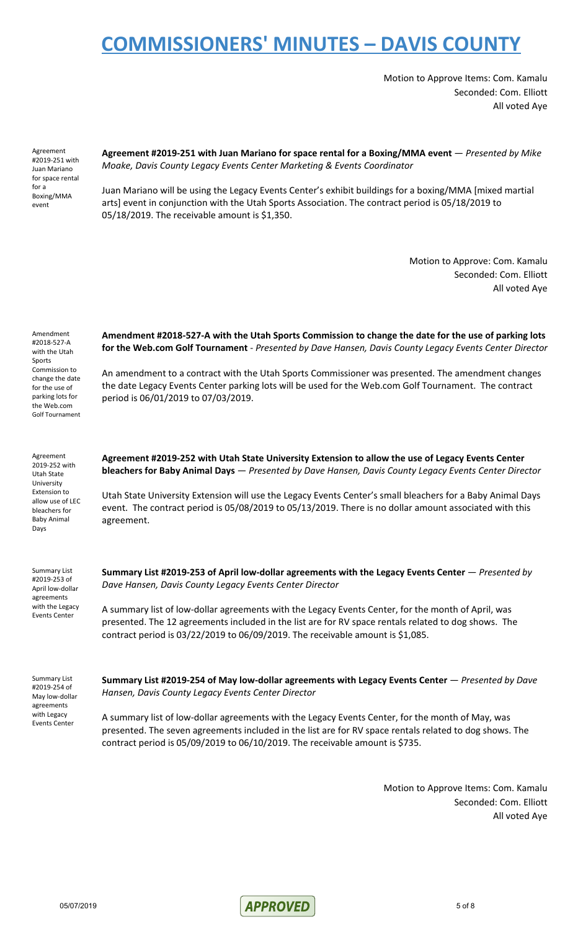Motion to Approve Items: Com. Kamalu Seconded: Com. Elliott All voted Aye

Agreement #2019-251 with Juan Mariano for space rental for a Boxing/MMA event

**Agreement #2019-251 with Juan Mariano for space rental for a Boxing/MMA event** — *Presented by Mike Moake, Davis County Legacy Events Center Marketing & Events Coordinator*

Juan Mariano will be using the Legacy Events Center's exhibit buildings for a boxing/MMA [mixed martial arts] event in conjunction with the Utah Sports Association. The contract period is 05/18/2019 to 05/18/2019. The receivable amount is \$1,350.

> Motion to Approve: Com. Kamalu Seconded: Com. Elliott All voted Aye

| Amendment<br>#2018-527-A<br>with the Utah<br>Sports<br>Commission to<br>change the date<br>for the use of<br>parking lots for<br>the Web.com<br><b>Golf Tournament</b> | Amendment #2018-527-A with the Utah Sports Commission to change the date for the use of parking lots<br>for the Web.com Golf Tournament - Presented by Dave Hansen, Davis County Legacy Events Center Director<br>An amendment to a contract with the Utah Sports Commissioner was presented. The amendment changes<br>the date Legacy Events Center parking lots will be used for the Web.com Golf Tournament. The contract<br>period is 06/01/2019 to 07/03/2019. |
|------------------------------------------------------------------------------------------------------------------------------------------------------------------------|---------------------------------------------------------------------------------------------------------------------------------------------------------------------------------------------------------------------------------------------------------------------------------------------------------------------------------------------------------------------------------------------------------------------------------------------------------------------|
| Agreement<br>2019-252 with<br>Utah State<br>University<br><b>Extension to</b><br>allow use of LEC<br>bleachers for<br><b>Baby Animal</b><br>Days                       | Agreement #2019-252 with Utah State University Extension to allow the use of Legacy Events Center<br>bleachers for Baby Animal Days - Presented by Dave Hansen, Davis County Legacy Events Center Director<br>Utah State University Extension will use the Legacy Events Center's small bleachers for a Baby Animal Days<br>event. The contract period is 05/08/2019 to 05/13/2019. There is no dollar amount associated with this<br>agreement.                    |
| <b>Summary List</b><br>#2019-253 of<br>April low-dollar<br>agreements<br>with the Legacy<br><b>Events Center</b>                                                       | Summary List #2019-253 of April low-dollar agreements with the Legacy Events Center $-$ Presented by<br>Dave Hansen, Davis County Legacy Events Center Director<br>A summary list of low-dollar agreements with the Legacy Events Center, for the month of April, was<br>presented. The 12 agreements included in the list are for RV space rentals related to dog shows. The<br>contract period is 03/22/2019 to 06/09/2019. The receivable amount is \$1,085.     |
| <b>Summary List</b><br>#2019-254 of<br>May low-dollar<br>agreements<br>with Legacy<br><b>Events Center</b>                                                             | Summary List #2019-254 of May low-dollar agreements with Legacy Events Center — Presented by Dave<br>Hansen, Davis County Legacy Events Center Director<br>A summary list of low-dollar agreements with the Legacy Events Center, for the month of May, was<br>presented. The seven agreements included in the list are for RV space rentals related to dog shows. The<br>contract period is 05/09/2019 to 06/10/2019. The receivable amount is \$735.              |

Motion to Approve Items: Com. Kamalu Seconded: Com. Elliott All voted Aye

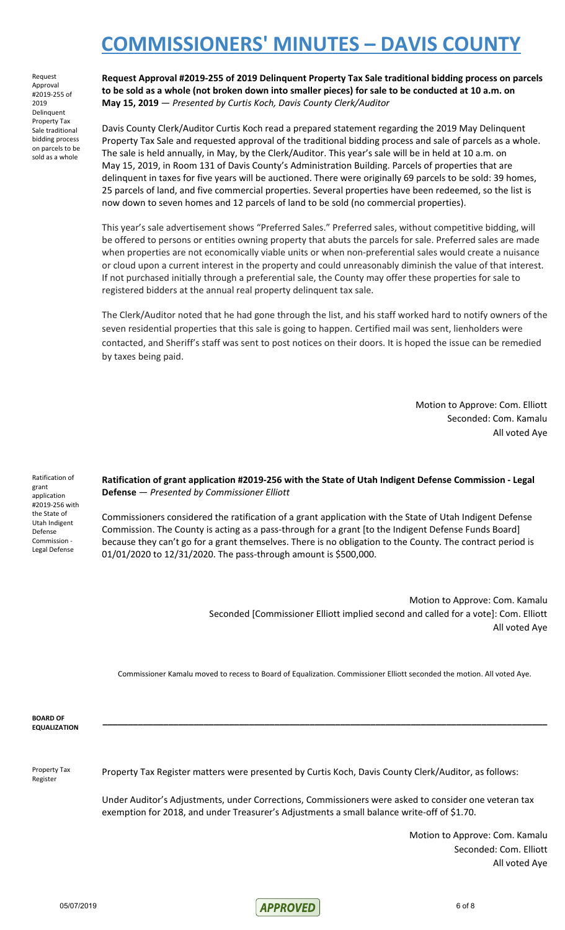Request Approval #2019-255 of 2019 **Delinquent** Property Tax Sale traditional bidding process on parcels to be sold as a whole

**Request Approval #2019-255 of 2019 Delinquent Property Tax Sale traditional bidding process on parcels** to be sold as a whole (not broken down into smaller pieces) for sale to be conducted at 10 a.m. on **May 15, 2019** — *Presented by Curtis Koch, Davis County Clerk/Auditor*

Davis County Clerk/Auditor Curtis Koch read a prepared statement regarding the 2019 May Delinquent Property Tax Sale and requested approval of the traditional bidding process and sale of parcels as a whole. The sale is held annually, in May, by the Clerk/Auditor. This year's sale will be in held at 10 a.m. on May 15, 2019, in Room 131 of Davis County's Administration Building. Parcels of properties that are delinquent in taxes for five years will be auctioned. There were originally 69 parcels to be sold: 39 homes, 25 parcels of land, and five commercial properties. Several properties have been redeemed, so the list is now down to seven homes and 12 parcels of land to be sold (no commercial properties).

This year's sale advertisement shows "Preferred Sales." Preferred sales, without competitive bidding, will be offered to persons or entities owning property that abuts the parcels for sale. Preferred sales are made when properties are not economically viable units or when non-preferential sales would create a nuisance or cloud upon a current interest in the property and could unreasonably diminish the value of that interest. If not purchased initially through a preferential sale, the County may offer these properties for sale to registered bidders at the annual real property delinquent tax sale.

The Clerk/Auditor noted that he had gone through the list, and his staff worked hard to notify owners of the seven residential properties that this sale is going to happen. Certified mail was sent, lienholders were contacted, and Sheriff's staff was sent to post notices on their doors. It is hoped the issue can be remedied by taxes being paid.

> Motion to Approve: Com. Elliott Seconded: Com. Kamalu All voted Aye

Ratification of grant application #2019-256 with the State of Utah Indigent Defense Commission - Legal Defense

**Ratification of grant application #2019-256 with the State of Utah Indigent Defense Commission - Legal Defense** — *Presented by Commissioner Elliott*

Commissioners considered the ratification of a grant application with the State of Utah Indigent Defense Commission. The County is acting as a pass-through for a grant [to the Indigent Defense Funds Board] because they can't go for a grant themselves. There is no obligation to the County. The contract period is 01/01/2020 to 12/31/2020. The pass-through amount is \$500,000.

> Motion to Approve: Com. Kamalu Seconded [Commissioner Elliott implied second and called for a vote]: Com. Elliott All voted Aye

Commissioner Kamalu moved to recess to Board of Equalization. Commissioner Elliott seconded the motion. All voted Aye.

**\_\_\_\_\_\_\_\_\_\_\_\_\_\_\_\_\_\_\_\_\_\_\_\_\_\_\_\_\_\_\_\_\_\_\_\_\_\_\_\_\_\_\_\_\_\_\_\_\_\_\_\_\_\_\_\_\_\_\_\_\_\_\_\_\_\_\_\_\_\_\_\_\_\_\_\_\_\_\_\_\_\_\_\_\_\_\_\_**

**BOARD OF EQUALIZATION**

Property Tax Register

Property Tax Register matters were presented by Curtis Koch, Davis County Clerk/Auditor, as follows:

Under Auditor's Adjustments, under Corrections, Commissioners were asked to consider one veteran tax exemption for 2018, and under Treasurer's Adjustments a small balance write-off of \$1.70.

> Motion to Approve: Com. Kamalu Seconded: Com. Elliott All voted Aye

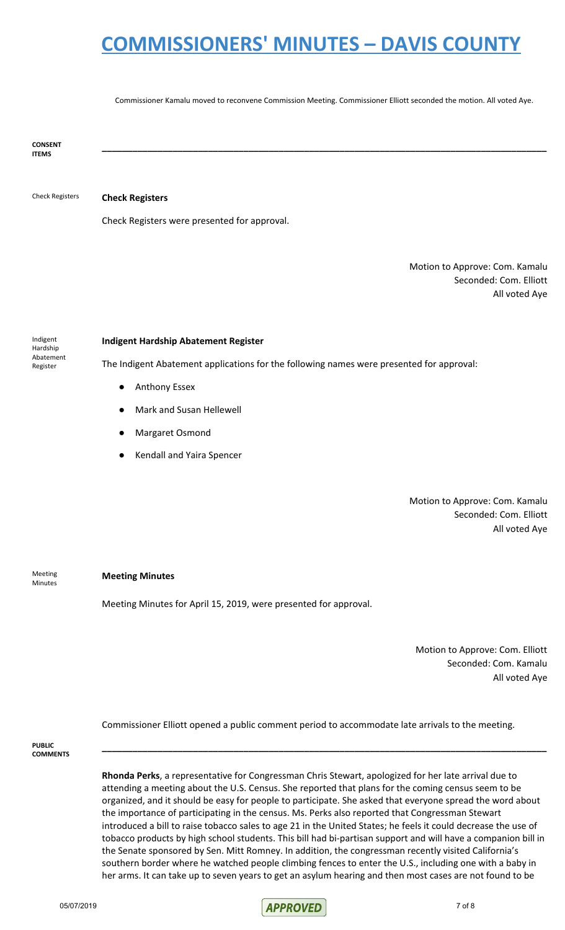Commissioner Kamalu moved to reconvene Commission Meeting. Commissioner Elliott seconded the motion. All voted Aye.

**\_\_\_\_\_\_\_\_\_\_\_\_\_\_\_\_\_\_\_\_\_\_\_\_\_\_\_\_\_\_\_\_\_\_\_\_\_\_\_\_\_\_\_\_\_\_\_\_\_\_\_\_\_\_\_\_\_\_\_\_\_\_\_\_\_\_\_\_\_\_\_\_\_\_\_\_\_\_\_\_\_\_\_\_\_\_\_\_**

**CONSENT ITEMS**

#### Check Registers **Check Registers**

Check Registers were presented for approval.

Motion to Approve: Com. Kamalu Seconded: Com. Elliott All voted Aye

Indigent Hardship Abatement Register

#### **Indigent Hardship Abatement Register**

The Indigent Abatement applications for the following names were presented for approval:

- Anthony Essex
- **Mark and Susan Hellewell**
- Margaret Osmond
- **Kendall and Yaira Spencer**

Motion to Approve: Com. Kamalu Seconded: Com. Elliott All voted Aye

Meeting Minutes

#### **Meeting Minutes**

Meeting Minutes for April 15, 2019, were presented for approval.

Motion to Approve: Com. Elliott Seconded: Com. Kamalu All voted Aye

Commissioner Elliott opened a public comment period to accommodate late arrivals to the meeting.

**PUBLIC COMMENTS**

> **Rhonda Perks**, a representative for Congressman Chris Stewart, apologized for her late arrival due to attending a meeting about the U.S. Census. She reported that plans for the coming census seem to be organized, and it should be easy for people to participate. She asked that everyone spread the word about the importance of participating in the census. Ms. Perks also reported that Congressman Stewart introduced a bill to raise tobacco sales to age 21 in the United States; he feels it could decrease the use of tobacco products by high school students. This bill had bi-partisan support and will have a companion bill in the Senate sponsored by Sen. Mitt Romney. In addition, the congressman recently visited California's southern border where he watched people climbing fences to enter the U.S., including one with a baby in her arms. It can take up to seven years to get an asylum hearing and then most cases are not found to be

> **\_\_\_\_\_\_\_\_\_\_\_\_\_\_\_\_\_\_\_\_\_\_\_\_\_\_\_\_\_\_\_\_\_\_\_\_\_\_\_\_\_\_\_\_\_\_\_\_\_\_\_\_\_\_\_\_\_\_\_\_\_\_\_\_\_\_\_\_\_\_\_\_\_\_\_\_\_\_\_\_\_\_\_\_\_\_\_\_**